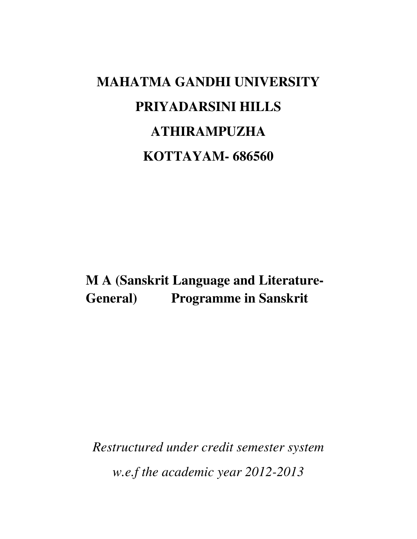# **MAHATMA GANDHI UNIVERSITY PRIYADARSINI HILLS ATHIRAMPUZHA KOTTAYAM- 686560**

**M A (Sanskrit Language and Literature-General) Programme in Sanskrit** 

*Restructured under credit semester system w.e.f the academic year 2012-2013*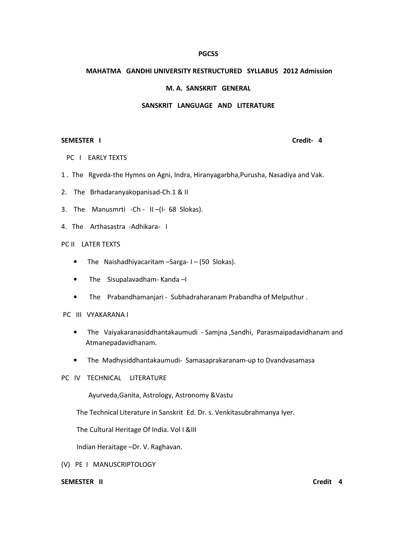#### **PGCSS**

# MAHATMA GANDHI UNIVERSITY RESTRUCTURED SYLLABUS 2012 Admission

#### M. A. SANSKRIT GENERAL

# SANSKRIT LANGUAGE AND LITERATURE

#### SEMESTER I Credit- 4

- PC I EARLY TEXTS
- 1 . The Rgveda-the Hymns on Agni, Indra, Hiranyagarbha,Purusha, Nasadiya and Vak.
- 2. The Brhadaranyakopanisad-Ch.1 & II
- 3. The Manusmrti -Ch II –(I- 68 Slokas).
- 4. The Arthasastra -Adhikara- I

# PC II LATER TEXTS

- The Naishadhiyacaritam –Sarga- I (50 Slokas).
- The Sisupalavadham- Kanda –I
- The Prabandhamanjari Subhadraharanam Prabandha of Melputhur .

# PC III VYAKARANA I

- The Vaiyakaranasiddhantakaumudi Samjna ,Sandhi, Parasmaipadavidhanam and Atmanepadavidhanam.
- The Madhysiddhantakaumudi- Samasaprakaranam-up to Dvandvasamasa

# PC IV TECHNICAL LITERATURE

Ayurveda,Ganita, Astrology, Astronomy &Vastu

The Technical Literature in Sanskrit Ed. Dr. s. Venkitasubrahmanya Iyer.

The Cultural Heritage Of India. Vol I &III

Indian Heraitage –Dr. V. Raghavan.

(V) PE I MANUSCRIPTOLOGY

### SEMESTER II Credit 4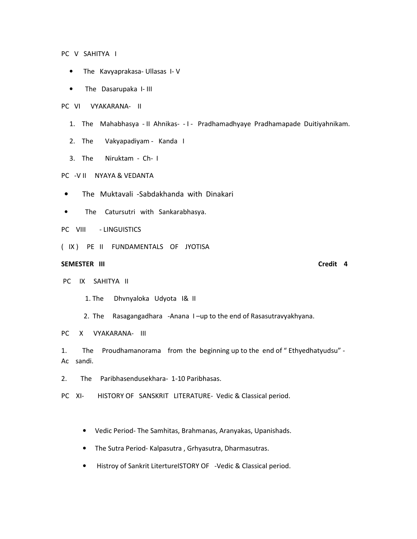PC V SAHITYA I

- The Kavyaprakasa- Ullasas I- V
- The Dasarupaka I- III
- PC VI VYAKARANA- II
	- 1. The Mahabhasya II Ahnikas- I Pradhamadhyaye Pradhamapade Duitiyahnikam.
	- 2. The Vakyapadiyam Kanda I
	- 3. The Niruktam Ch- I

### PC -V II NYAYA & VEDANTA

- The Muktavali -Sabdakhanda with Dinakari
- The Catursutri with Sankarabhasya.
- PC VIII LINGUISTICS
- ( IX ) PE II FUNDAMENTALS OF JYOTISA

### SEMESTER III Credit 4

PC IX SAHITYA II

1. The Dhvnyaloka Udyota I& II

2. The Rasagangadhara -Anana I –up to the end of Rasasutravyakhyana.

PC X VYAKARANA- III

1. The Proudhamanorama from the beginning up to the end of " Ethyedhatyudsu" - Ac sandi.

2. The Paribhasendusekhara- 1-10 Paribhasas.

PC XI- HISTORY OF SANSKRIT LITERATURE- Vedic & Classical period.

- Vedic Period- The Samhitas, Brahmanas, Aranyakas, Upanishads.
- The Sutra Period- Kalpasutra , Grhyasutra, Dharmasutras.
- Histroy of Sankrit LitertureISTORY OF -Vedic & Classical period.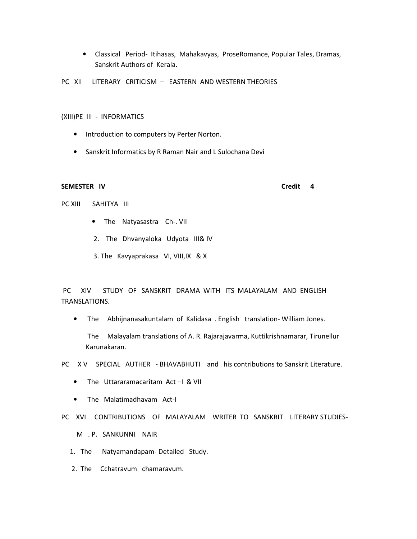• Classical Period- Itihasas, Mahakavyas, ProseRomance, Popular Tales, Dramas, Sanskrit Authors of Kerala.

PC XII LITERARY CRITICISM - EASTERN AND WESTERN THEORIES

(XIII)PE III - INFORMATICS

- Introduction to computers by Perter Norton.
- Sanskrit Informatics by R Raman Nair and L Sulochana Devi

#### SEMESTER IV Credit 4

PC XIII SAHITYA III

- The Natyasastra Ch-. VII
- 2. The Dhvanyaloka Udyota III& IV
- 3. The Kavyaprakasa VI, VIII,IX & X

 PC XIV STUDY OF SANSKRIT DRAMA WITH ITS MALAYALAM AND ENGLISH TRANSLATIONS.

• The Abhijnanasakuntalam of Kalidasa . English translation- William Jones.

 The Malayalam translations of A. R. Rajarajavarma, Kuttikrishnamarar, Tirunellur Karunakaran.

PC X V SPECIAL AUTHER - BHAVABHUTI and his contributions to Sanskrit Literature.

- The Uttararamacaritam Act -I & VII
- The Malatimadhavam Act-I

PC XVI CONTRIBUTIONS OF MALAYALAM WRITER TO SANSKRIT LITERARY STUDIES-

M . P. SANKUNNI NAIR

- 1. The Natyamandapam- Detailed Study.
- 2. The Cchatravum chamaravum.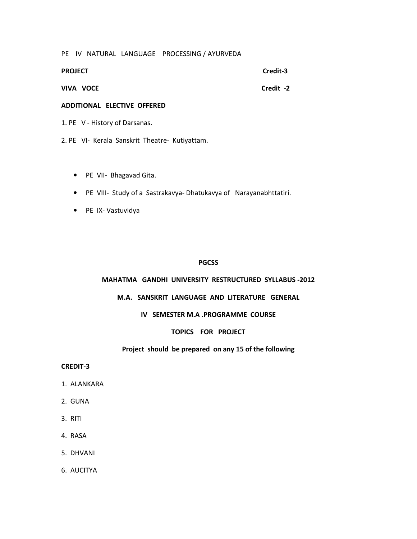PE IV NATURAL LANGUAGE PROCESSING / AYURVEDA

| <b>PROJECT</b> | Credit-3  |
|----------------|-----------|
| VIVA VOCE      | Credit -2 |

#### ADDITIONAL ELECTIVE OFFERED

1. PE V - History of Darsanas.

- 2. PE VI- Kerala Sanskrit Theatre- Kutiyattam.
	- PE VII- Bhagavad Gita.
	- PE VIII- Study of a Sastrakavya- Dhatukavya of Narayanabhttatiri.
	- PE IX- Vastuvidya

# **PGCSS**

# MAHATMA GANDHI UNIVERSITY RESTRUCTURED SYLLABUS -2012

# M.A. SANSKRIT LANGUAGE AND LITERATURE GENERAL

# IV SEMESTER M.A .PROGRAMME COURSE

# TOPICS FOR PROJECT

# Project should be prepared on any 15 of the following

#### CREDIT-3

- 1. ALANKARA
- 2. GUNA
- 3. RITI
- 4. RASA
- 5. DHVANI
- 6. AUCITYA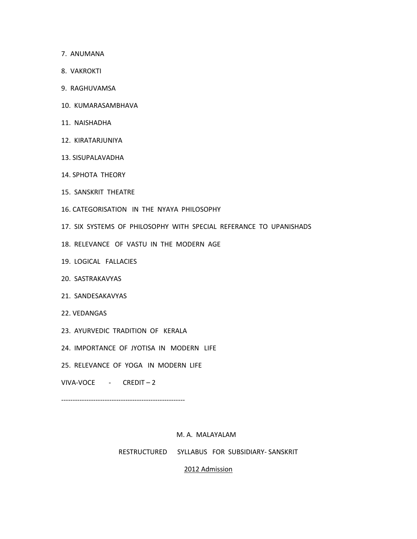- 7. ANUMANA
- 8. VAKROKTI
- 9. RAGHUVAMSA
- 10. KUMARASAMBHAVA
- 11. NAISHADHA
- 12. KIRATARJUNIYA
- 13. SISUPALAVADHA
- 14. SPHOTA THEORY
- 15. SANSKRIT THEATRE
- 16. CATEGORISATION IN THE NYAYA PHILOSOPHY
- 17. SIX SYSTEMS OF PHILOSOPHY WITH SPECIAL REFERANCE TO UPANISHADS
- 18. RELEVANCE OF VASTU IN THE MODERN AGE
- 19. LOGICAL FALLACIES
- 20. SASTRAKAVYAS
- 21. SANDESAKAVYAS
- 22. VEDANGAS
- 23. AYURVEDIC TRADITION OF KERALA
- 24. IMPORTANCE OF JYOTISA IN MODERN LIFE
- 25. RELEVANCE OF YOGA IN MODERN LIFE
- VIVA-VOCE CREDIT 2

------------------------------------------------------

#### M. A. MALAYALAM

RESTRUCTURED SYLLABUS FOR SUBSIDIARY- SANSKRIT

# 2012 Admission